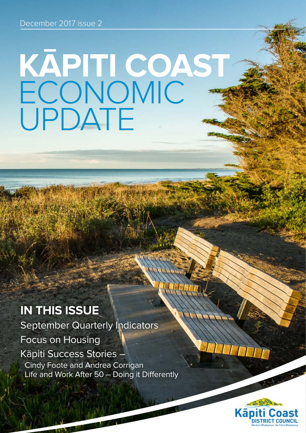# **KĀPITI COAST**  ECONOMIC UPDATE

### **IN THIS ISSUE**

September Quarterly Indicators Focus on Housing Kāpiti Success Stories – Cindy Foote and Andrea Corrigan Life and Work After 50 – Doing it Differently

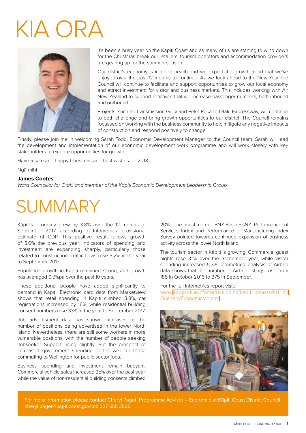## KIA ORA



It's been a busy year on the Kāpiti Coast and as many of us are starting to wind down for the Christmas break our retailers, tourism operators and accommodation providers are gearing up for the summer season.

Our district's economy is in good health and we expect the growth trend that we've enjoyed over the past 12 months to continue. As we look ahead to the New Year, the Council will continue to facilitate and support opportunities to grow our local economy and attract investment for visitor and business markets. This includes working with Air New Zealand to support initiatives that will increase passenger numbers, both inbound and outbound.

Projects, such as Transmission Gully and Peka Peka to Ōtaki Expressway, will continue to both challenge and bring growth opportunities to our district. The Council remains focussed on working with the business community to help mitigate any negative impacts of construction and respond positively to change.

Finally, please join me in welcoming Sarah Todd, Economic Development Manager, to the Council team. Sarah will lead the development and implementation of our economic development work programme and will work closely with key stakeholders to explore opportunities for growth.

Have a safe and happy Christmas and best wishes for 2018.

Ngā mihi

#### **James Cootes**

Ward Councillor for Ōtaki and member of the Kāpiti Economic Development Leadership Group

## **SUMMARY**

Kāpiti's economy grew by 3.8% over the 12 months to September 2017, according to Infometrics' provisional estimate of GDP. This positive result follows growth of 3.6% the previous year. Indicators of spending and investment are expanding sharply, particularly those related to construction. Traffic flows rose 3.2% in the year to September 2017.

Population growth in Kāpiti remained strong, and growth has averaged 0.9%pa over the past 10 years.

These additional people have added significantly to demand in Kāpiti. Electronic card data from Marketview shows that retail spending in Kāpiti climbed 3.8%, car registrations increased by 16%, while residential building consent numbers rose 33% in the year to September 2017.

Job advertisment data has shown increases to the number of positions being advertised in the lower North Island. Nevertheless, there are still some workers in more vulnerable positions, with the number of people seeking Jobseeker Support rising slightly. But the prospect of increased government spending bodes well for those commuting to Wellington for public sector jobs.

Business spending and investment remain buoyant. Commercial vehicle sales increased 35% over the past year, while the value of non-residential building consents climbed

20%. The most recent BNZ-BusinessNZ Performance of Services Index and Performance of Manufacturing Index Survey pointed towards continued expansion of business activity across the lower North Island.

The tourism sector in Kāpiti is growing. Commercial guest nights rose 3.1% over the September year, while visitor spending increased 5.3%. Infometrics' analysis of Airbnb data shows that the number of Airbnb listings rose from 185 in October 2016 to 375 in September.

For the full Infometrics report visit:

www[.ecoprofile.infometrics.co.nz/kapiti+coast+district/](https://ecoprofile.infometrics.co.nz/kapiti+coast+district/QuarterlyEconomicMonitor) [QuarterlyEconomicMonitor](https://ecoprofile.infometrics.co.nz/kapiti+coast+district/QuarterlyEconomicMonitor)



For more information please contact Cheryl Paget, Programme Advisor – Economic at Kāpiti Coast District Council [cheryl.paget@kapiticoast.govt.nz](mailto:cheryl.paget%40kapiticoast.govt.nz?subject=Kapiti%20Economic%20Update) 027 555 3505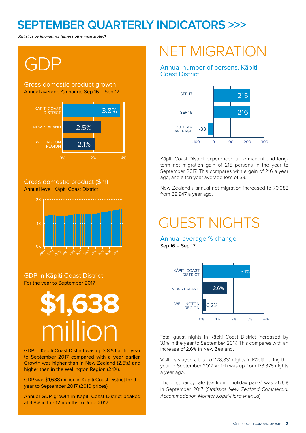#### **SEPTEMBER QUARTERLY INDICATORS >>>**

Statistics by Infometrics (unless otherwise stated)

## GDP

#### Annual average % change Sep 16 – Sep 17 Gross domestic product growth



#### Annual level, Kāpiti Coast District Gross domestic product (\$m)



#### For the year to September 2017 GDP in Kāpiti Coast District



GDP in Kāpiti Coast District was up 3.8% for the year to September 2017 compared with a year earlier. Growth was higher than in New Zealand (2.5%) and higher than in the Wellington Region (2.1%).

GDP was \$1,638 million in Kāpiti Coast District for the year to September 2017 (2010 prices).

Annual GDP growth in Kāpiti Coast District peaked at 4.8% in the 12 months to June 2017.

### NET MIGRATION

#### Annual number of persons, Kāpiti Coast District



Kāpiti Coast District experenced a permanent and longterm net migration gain of 215 persons in the year to September 2017. This compares with a gain of 216 a year ago, and a ten year average loss of 33.

New Zealand's annual net migration increased to 70,983 from 69,947 a year ago.

### GUEST NIGHTS

Annual average % change Sep 16 – Sep 17



Total guest nights in Kāpiti Coast District increased by 3.1% in the year to September 2017. This compares with an increase of 2.6% in New Zealand.

Visitors stayed a total of 178,831 nights in Kāpiti during the year to September 2017, which was up from 173,375 nights a year ago.

The occupancy rate (excluding holiday parks) was 26.6% in September 2017 (Statistics New Zealand Commercial Accommodation Monitor Kāpiti-Horowhenua)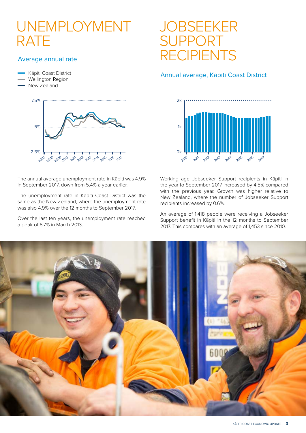### UNEMPLOYMENT RATE

#### Average annual rate

- Kāpiti Coast District
- Wellington Region
- New Zealand



The annual average unemployment rate in Kāpiti was 4.9% in September 2017, down from 5.4% a year earlier.

The unemployment rate in Kāpiti Coast District was the same as the New Zealand, where the unemployment rate was also 4.9% over the 12 months to September 2017.

Over the last ten years, the unemployment rate reached a peak of 6.7% in March 2013.

### **JOBSEEKER** SUPPORT RECIPIENTS

#### Annual average, Kāpiti Coast District



Working age Jobseeker Support recipients in Kāpiti in the year to September 2017 increased by 4.5% compared with the previous year. Growth was higher relative to New Zealand, where the number of Jobseeker Support recipients increased by 0.6%.

An average of 1,418 people were receiving a Jobseeker Support benefit in Kāpiti in the 12 months to September 2017. This compares with an average of 1,453 since 2010.

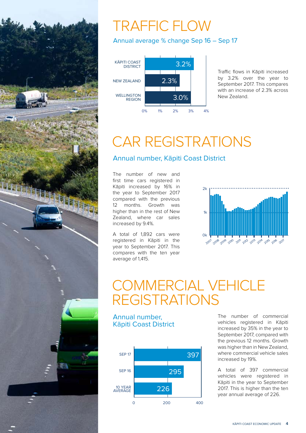

### TRAFFIC FLOW

Annual average % change Sep 16 – Sep 17



Traffic flows in Kāpiti increased by 3.2% over the year to September 2017. This compares with an increase of 2.3% across New Zealand.

### CAR REGISTRATIONS

#### Annual number, Kāpiti Coast District

The number of new and first time cars registered in Kāpiti increased by 16% in the year to September 2017 compared with the previous 12 months. Growth was higher than in the rest of New Zealand, where car sales increased by 9.4%.

A total of 1,892 cars were registered in Kāpiti in the year to September 2017. This compares with the ten year average of 1,415.



### COMMERCIAL VEHICLE REGISTRATIONS

Annual number, Kāpiti Coast District



The number of commercial vehicles registered in Kāpiti increased by 35% in the year to September 2017, compared with the previous 12 months. Growth was higher than in New Zealand, where commercial vehicle sales increased by 19%.

A total of 397 commercial vehicles were registered in Kāpiti in the year to September 2017. This is higher than the ten year annual average of 226.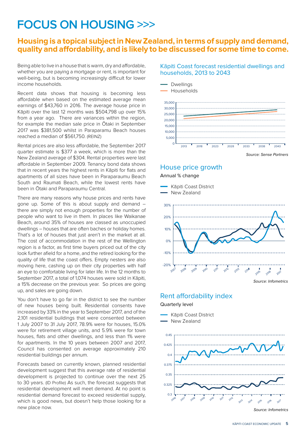#### **FOCUS ON HOUSING >>>**

#### **Housing is a topical subject in New Zealand, in terms of supply and demand, quality and affordability, and is likely to be discussed for some time to come.**

Being able to live in a house that is warm, dry and affordable, whether you are paying a mortgage or rent, is important for well-being, but is becoming increasingly difficult for lower income households.

Recent data shows that housing is becoming less affordable when based on the estimated average mean earnings of \$43,760 in 2016. The average house price in Kāpiti over the last 12 months was \$504,798 up over 15% from a year ago. There are variances within the region, for example the median sale price in Ōtaki in September 2017 was \$381,500 whilst in Paraparamu Beach houses reached a median of \$561,750. (REINZ)

Rental prices are also less affordable, the September 2017 quarter estimate is \$377 a week, which is more than the New Zealand average of \$304. Rental properties were last affordable in September 2009. Tenancy bond data shows that in recent years the highest rents in Kāpiti for flats and apartments of all sizes have been in Paraparaumu Beach South and Raumati Beach, while the lowest rents have been in Ōtaki and Paraparaumu Central.

There are many reasons why house prices and rents have gone up. Some of this is about supply and demand – there are simply not enough properties for the number of people who want to live in them. In places like Waikanae Beach, around 35% of houses are classed as unoccupied dwellings – houses that are often baches or holiday homes. That's a lot of houses that just aren't in the market at all. The cost of accommodation in the rest of the Wellington region is a factor, as first time buyers priced out of the city look further afield for a home, and the retired looking for the quality of life that the coast offers. Empty nesters are also moving here, cashing up on their city properties with half an eye to comfortable living for later life. In the 12 months to September 2017, a total of 1,074 houses were sold in Kāpiti, a 15% decrease on the previous year. So prices are going up, and sales are going down.

You don't have to go far in the district to see the number of new houses being built. Residential consents have increased by 33% in the year to September 2017, and of the 2,101 residential buildings that were consented between 1 July 2007 to 31 July 2017, 78.9% were for houses, 15.0% were for retirement village units, and 5.9% were for town houses, flats and other dwellings, and less than 1% were for apartments. In the 10 years between 2007 and 2017, Council has consented on average approximately 210 residential buildings per annum.

Forecasts based on currently known, planned residential development suggest that this average rate of residential development is projected to continue over the next 25 to 30 years. (ID Profile) As such, the forecast suggests that residential development will meet demand. At no point is residential demand forecast to exceed residential supply, which is good news, but doesn't help those looking for a new place now.

#### Kāpiti Coast forecast residential dwellings and households, 2013 to 2043



#### House price growth



Source: Infometrics

2017

Rent affordability index

Quarterly level



KĀPITI COAST ECONOMIC UPDATE **5**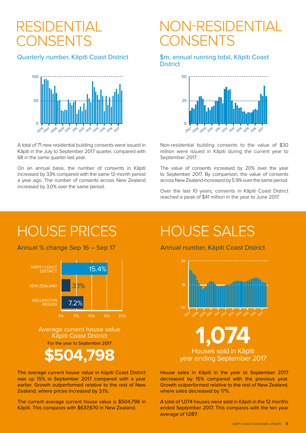### RESIDENTIAL **CONSENTS**

#### Quarterly number, Kāpiti Coast District



A total of 71 new residential building consents were issued in Kāpiti in the July to September 2017 quarter, compared with 68 in the same quarter last year.

On an annual basis, the number of consents in Kāpiti increased by 33% compared with the same 12-month period a year ago. The number of consents across New Zealand increased by 3.0% over the same period.

### NON-RESIDENTIAL CONSENTS

#### \$m, annual running total, Kāpiti Coast **District**



Non-residential building consents to the value of \$30 million were issued in Kāpiti during the current year to September 2017.

The value of consents increased by 20% over the year to September 2017. By comparison, the value of consents across New Zealand increased by 5.9% over the same period.

Over the last 10 years, consents in Kāpiti Coast District reached a peak of \$41 million in the year to June 2017.

### HOUSE PRICES HOUSE SALES

Annual % change Sep 16 – Sep 17



The average current house value in Kāpiti Coast District was up 15% in September 2017 compared with a year earlier. Growth outperformed relative to the rest of New Zealand, where prices increased by 3.1%.

The current average current house value is \$504,798 in Kāpiti. This compares with \$637,670 in New Zealand.

Annual number, Kāpiti Coast District



Houses sold in Kāpiti **\$504,798** year ending September 2017

House sales in Kāpiti in the year to September 2017 decreased by 15% compared with the previous year. Growth outperformed relative to the rest of New Zealand, where sales decreased by 17%.

A total of 1,074 houses were sold in Kāpiti in the 12 months ended September 2017. This compares with the ten year average of 1,087.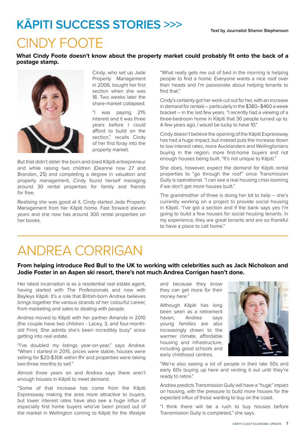### **KĀPITI SUCCESS STORIES >>>**

### CINDY FOOTE

**What Cindy Foote doesn't know about the property market could probably fit onto the back of a postage stamp.** 



Cindy, who set up Jade Property Management in 2006, bought her first section when she was 18. Two weeks later the share-market collapsed.

"I was paying 21% interest and it was three years before I could afford to build on the section," recalls Cindy of her first foray into the property market.

But that didn't deter the born-and-bred Kāpiti entrepreneur and while raising two children (Deanne now 27 and Brandon, 25) and completing a degree in valuation and property management, Cindy found herself managing around 30 rental properties for family and friends for free.

Realising she was good at it, Cindy started Jade Property Management from her Kāpiti home. Fast forward eleven years and she now has around 300 rental properties on her books.

"What really gets me out of bed in the morning is helping people to find a home. Everyone wants a nice roof over their heads and I'm passionate about helping tenants to find that"

Cindy's certainly got her work cut out for her, with an increase in demand for rentals – particularly in the \$380–\$460 a week bracket – in the last few years. "I recently had a viewing of a three-bedroom home in Kāpiti that 30 people turned up to. A few years ago, I would be lucky to have 10."

Cindy doesn't believe the opening of the Kāpiti Expressway has had a huge impact, but instead puts the increase down to low interest rates, more Aucklanders and Wellingtonians buying in the region, more first-home buyers and not enough houses being built. "It's not unique to Kāpiti."

She does, however, expect the demand for Kāpiti rental properties to "go through the roof" once Transmission Gully is operational. "I can see a real housing crisis looming if we don't get more houses built."

The grandmother of three is doing her bit to help – she's currently working on a project to provide social housing in Kāpiti. "I've got a section and if the bank says yes I'm going to build a few houses for social housing tenants. In my experience, they are great tenants and are so thankful to have a place to call home."

### ANDREA CORRIGAN

#### **From helping introduce Red Bull to the UK to working with celebrities such as Jack Nicholson and Jodie Foster in an Aspen ski resort, there's not much Andrea Corrigan hasn't done.**

Her latest incarnation is as a residential real estate agent, having started with The Professionals and now with Bayleys Kāpiti. It's a role that British-born Andrea believes brings together the various strands of her colourful career, from marketing and sales to dealing with people.

Andrea moved to Kāpiti with her partner Amanda in 2010 (the couple have two children - Lacey, 3, and four-monthold Finn). She admits she's been incredibly busy" since getting into real estate.

"I've doubled my listings year-on-year," says Andrea. "When I started in 2015, prices were stable, houses were selling for \$20-\$30K within RV and properties were taking two-three months to sell."

Almost three years on and Andrea says there aren't enough houses in Kāpiti to meet demand.

"Some of that increase has come from the Kāpiti Expressway making the area more attractive to buyers, but lower interest rates have also see a huge influx of especially first home buyers who've been priced out of the market in Wellington coming to Kāpiti for the lifestyle and because they know they can get more for their money here."

Although Kāpiti has long been seen as a retirement haven, Andrea says young families are also increasingly drawn to the warmer climate, affordable housing and infrastructure, including good schools and early childhood centres.



"We're also seeing a lot of people in their late 50s and early 60s buying up here and renting it out until they're ready to retire."

Andrea predicts Transmission Gully will have a "huge" impact on housing, with the pressure to build more houses for the expected influx of those wanting to buy on the coast.

"I think there will be a rush to buy houses before Transmission Gully is completed," she says.